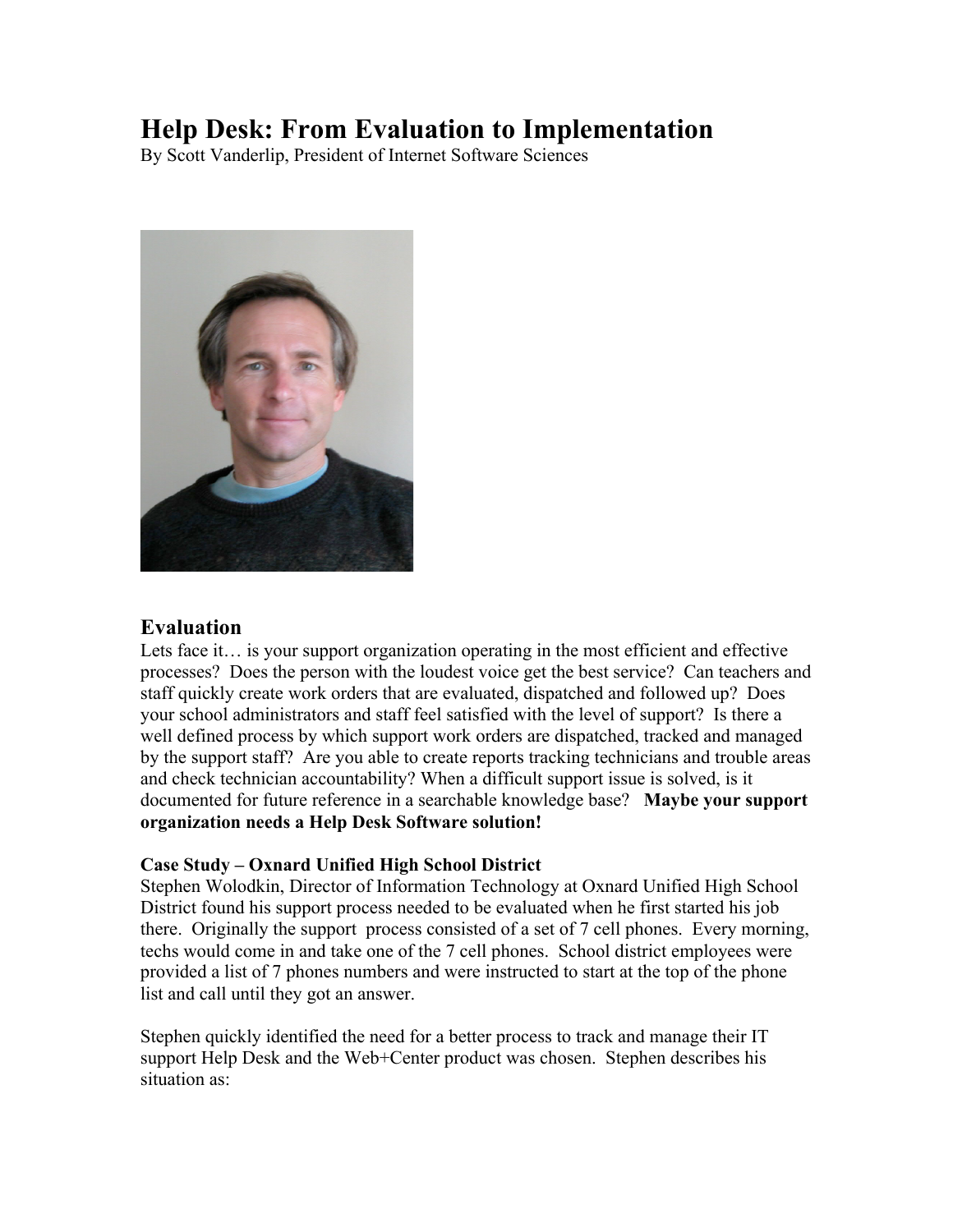# **Help Desk: From Evaluation to Implementation**

By Scott Vanderlip, President of Internet Software Sciences



## **Evaluation**

Lets face it... is your support organization operating in the most efficient and effective processes? Does the person with the loudest voice get the best service? Can teachers and staff quickly create work orders that are evaluated, dispatched and followed up? Does your school administrators and staff feel satisfied with the level of support? Is there a well defined process by which support work orders are dispatched, tracked and managed by the support staff? Are you able to create reports tracking technicians and trouble areas and check technician accountability? When a difficult support issue is solved, is it documented for future reference in a searchable knowledge base? **Maybe your support organization needs a Help Desk Software solution!**

#### **Case Study – Oxnard Unified High School District**

Stephen Wolodkin, Director of Information Technology at Oxnard Unified High School District found his support process needed to be evaluated when he first started his job there. Originally the support process consisted of a set of 7 cell phones. Every morning, techs would come in and take one of the 7 cell phones. School district employees were provided a list of 7 phones numbers and were instructed to start at the top of the phone list and call until they got an answer.

Stephen quickly identified the need for a better process to track and manage their IT support Help Desk and the Web+Center product was chosen. Stephen describes his situation as: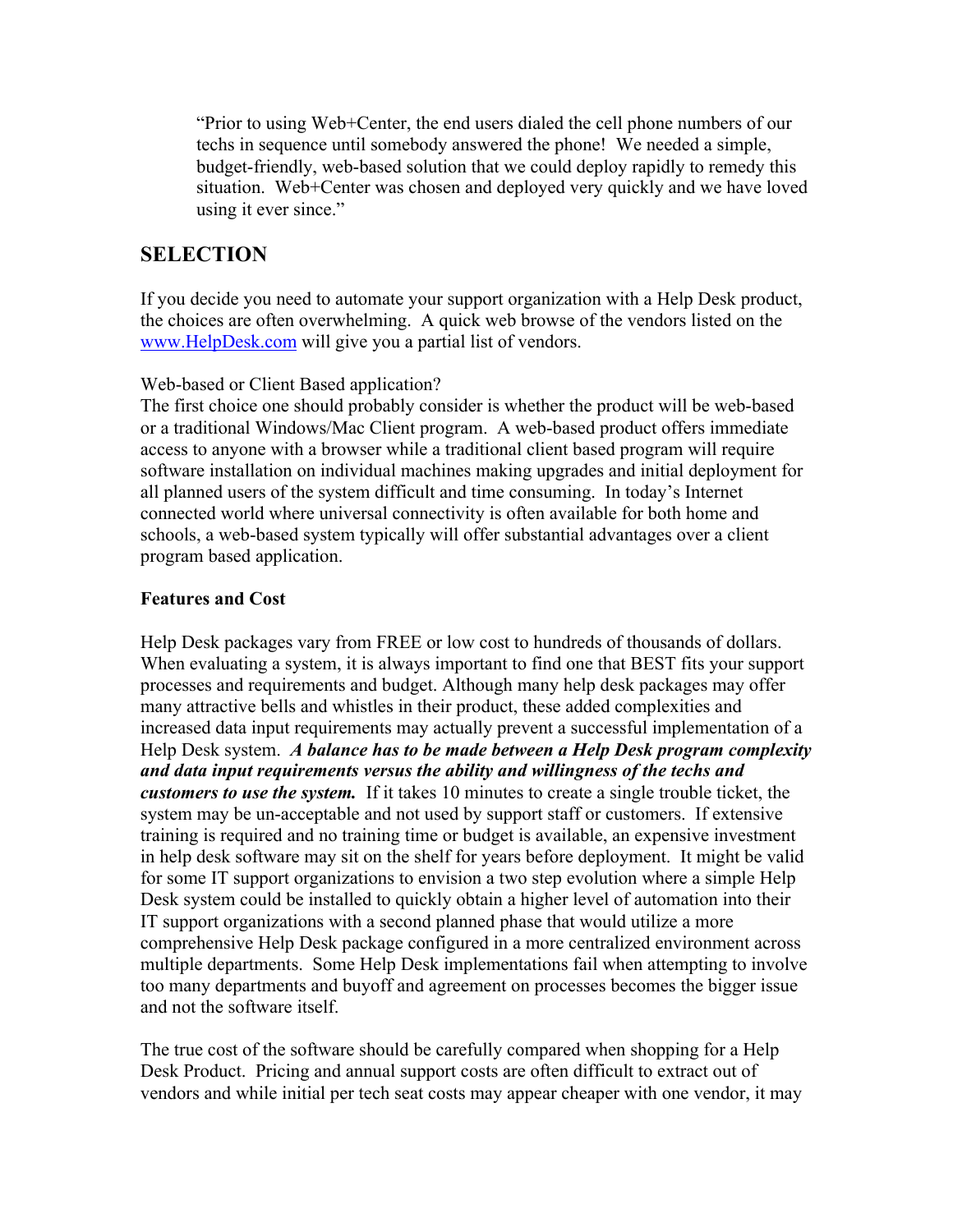"Prior to using Web+Center, the end users dialed the cell phone numbers of our techs in sequence until somebody answered the phone! We needed a simple, budget-friendly, web-based solution that we could deploy rapidly to remedy this situation. Web+Center was chosen and deployed very quickly and we have loved using it ever since."

# **SELECTION**

If you decide you need to automate your support organization with a Help Desk product, the choices are often overwhelming. A quick web browse of the vendors listed on the www.HelpDesk.com will give you a partial list of vendors.

## Web-based or Client Based application?

The first choice one should probably consider is whether the product will be web-based or a traditional Windows/Mac Client program. A web-based product offers immediate access to anyone with a browser while a traditional client based program will require software installation on individual machines making upgrades and initial deployment for all planned users of the system difficult and time consuming. In today's Internet connected world where universal connectivity is often available for both home and schools, a web-based system typically will offer substantial advantages over a client program based application.

### **Features and Cost**

Help Desk packages vary from FREE or low cost to hundreds of thousands of dollars. When evaluating a system, it is always important to find one that BEST fits your support processes and requirements and budget. Although many help desk packages may offer many attractive bells and whistles in their product, these added complexities and increased data input requirements may actually prevent a successful implementation of a Help Desk system. *A balance has to be made between a Help Desk program complexity and data input requirements versus the ability and willingness of the techs and customers to use the system.* If it takes 10 minutes to create a single trouble ticket, the system may be un-acceptable and not used by support staff or customers. If extensive training is required and no training time or budget is available, an expensive investment in help desk software may sit on the shelf for years before deployment. It might be valid for some IT support organizations to envision a two step evolution where a simple Help Desk system could be installed to quickly obtain a higher level of automation into their IT support organizations with a second planned phase that would utilize a more comprehensive Help Desk package configured in a more centralized environment across multiple departments. Some Help Desk implementations fail when attempting to involve too many departments and buyoff and agreement on processes becomes the bigger issue and not the software itself.

The true cost of the software should be carefully compared when shopping for a Help Desk Product. Pricing and annual support costs are often difficult to extract out of vendors and while initial per tech seat costs may appear cheaper with one vendor, it may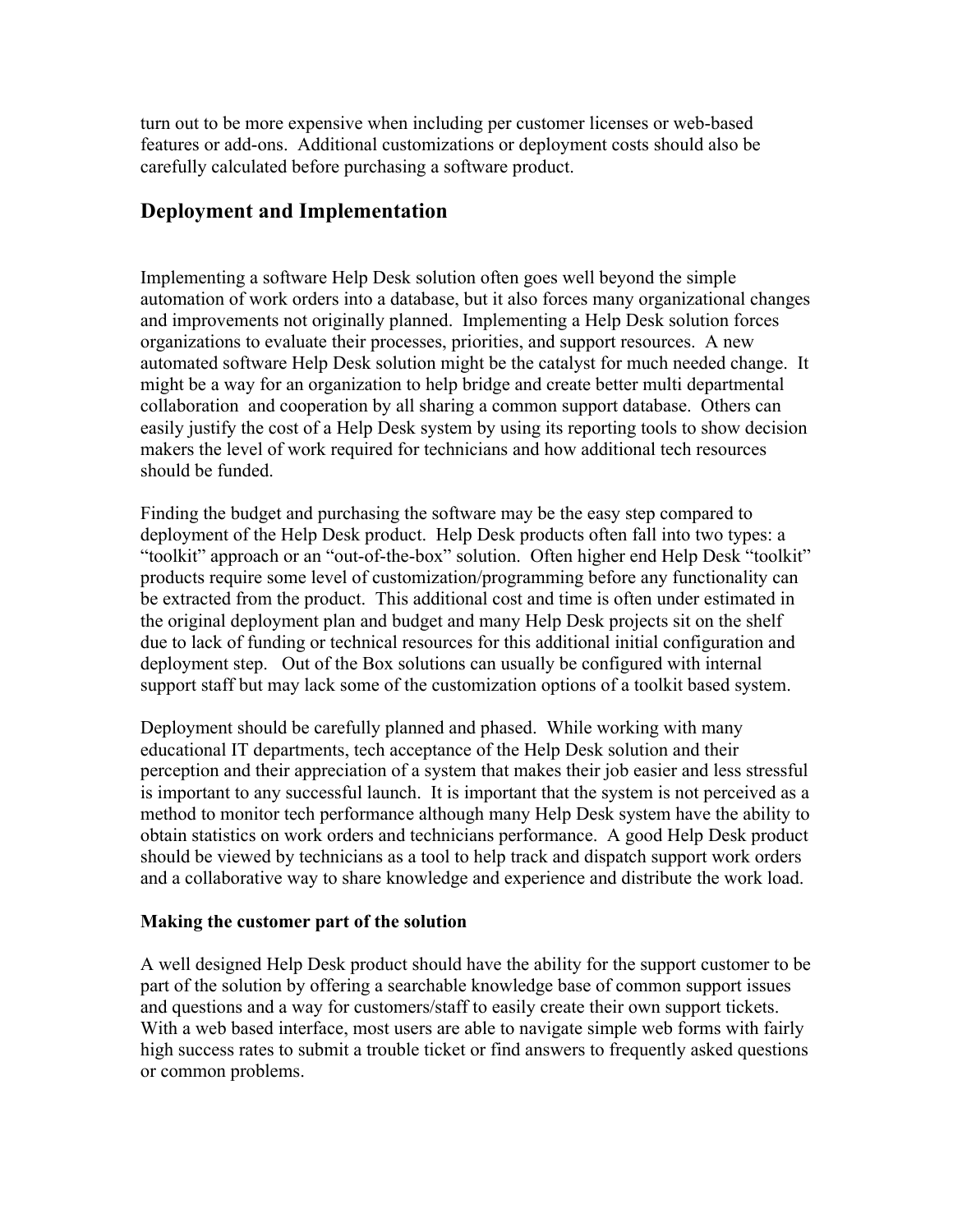turn out to be more expensive when including per customer licenses or web-based features or add-ons. Additional customizations or deployment costs should also be carefully calculated before purchasing a software product.

## **Deployment and Implementation**

Implementing a software Help Desk solution often goes well beyond the simple automation of work orders into a database, but it also forces many organizational changes and improvements not originally planned. Implementing a Help Desk solution forces organizations to evaluate their processes, priorities, and support resources. A new automated software Help Desk solution might be the catalyst for much needed change. It might be a way for an organization to help bridge and create better multi departmental collaboration and cooperation by all sharing a common support database. Others can easily justify the cost of a Help Desk system by using its reporting tools to show decision makers the level of work required for technicians and how additional tech resources should be funded.

Finding the budget and purchasing the software may be the easy step compared to deployment of the Help Desk product. Help Desk products often fall into two types: a "toolkit" approach or an "out-of-the-box" solution. Often higher end Help Desk "toolkit" products require some level of customization/programming before any functionality can be extracted from the product. This additional cost and time is often under estimated in the original deployment plan and budget and many Help Desk projects sit on the shelf due to lack of funding or technical resources for this additional initial configuration and deployment step. Out of the Box solutions can usually be configured with internal support staff but may lack some of the customization options of a toolkit based system.

Deployment should be carefully planned and phased. While working with many educational IT departments, tech acceptance of the Help Desk solution and their perception and their appreciation of a system that makes their job easier and less stressful is important to any successful launch. It is important that the system is not perceived as a method to monitor tech performance although many Help Desk system have the ability to obtain statistics on work orders and technicians performance. A good Help Desk product should be viewed by technicians as a tool to help track and dispatch support work orders and a collaborative way to share knowledge and experience and distribute the work load.

### **Making the customer part of the solution**

A well designed Help Desk product should have the ability for the support customer to be part of the solution by offering a searchable knowledge base of common support issues and questions and a way for customers/staff to easily create their own support tickets. With a web based interface, most users are able to navigate simple web forms with fairly high success rates to submit a trouble ticket or find answers to frequently asked questions or common problems.